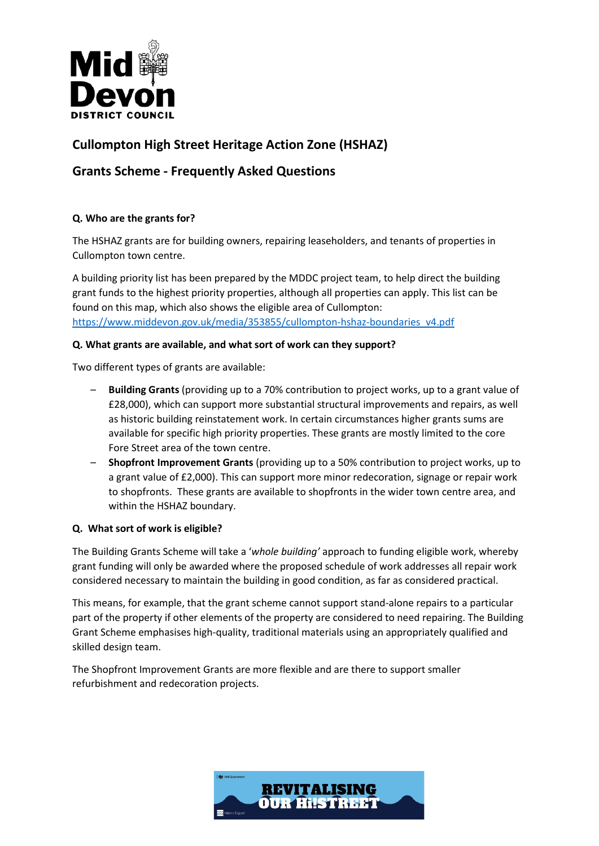

# **Cullompton High Street Heritage Action Zone (HSHAZ)**

# **Grants Scheme - Frequently Asked Questions**

# **Q. Who are the grants for?**

The HSHAZ grants are for building owners, repairing leaseholders, and tenants of properties in Cullompton town centre.

A building priority list has been prepared by the MDDC project team, to help direct the building grant funds to the highest priority properties, although all properties can apply. This list can be found on this map, which also shows the eligible area of Cullompton: [https://www.middevon.gov.uk/media/353855/cullompton-hshaz-boundaries\\_v4.pdf](https://www.middevon.gov.uk/media/353855/cullompton-hshaz-boundaries_v4.pdf)

# **Q. What grants are available, and what sort of work can they support?**

Two different types of grants are available:

- **Building Grants** (providing up to a 70% contribution to project works, up to a grant value of £28,000), which can support more substantial structural improvements and repairs, as well as historic building reinstatement work. In certain circumstances higher grants sums are available for specific high priority properties. These grants are mostly limited to the core Fore Street area of the town centre.
- **Shopfront Improvement Grants** (providing up to a 50% contribution to project works, up to a grant value of £2,000). This can support more minor redecoration, signage or repair work to shopfronts. These grants are available to shopfronts in the wider town centre area, and within the HSHAZ boundary.

# **Q. What sort of work is eligible?**

The Building Grants Scheme will take a '*whole building'* approach to funding eligible work, whereby grant funding will only be awarded where the proposed schedule of work addresses all repair work considered necessary to maintain the building in good condition, as far as considered practical.

This means, for example, that the grant scheme cannot support stand-alone repairs to a particular part of the property if other elements of the property are considered to need repairing. The Building Grant Scheme emphasises high-quality, traditional materials using an appropriately qualified and skilled design team.

The Shopfront Improvement Grants are more flexible and are there to support smaller refurbishment and redecoration projects.

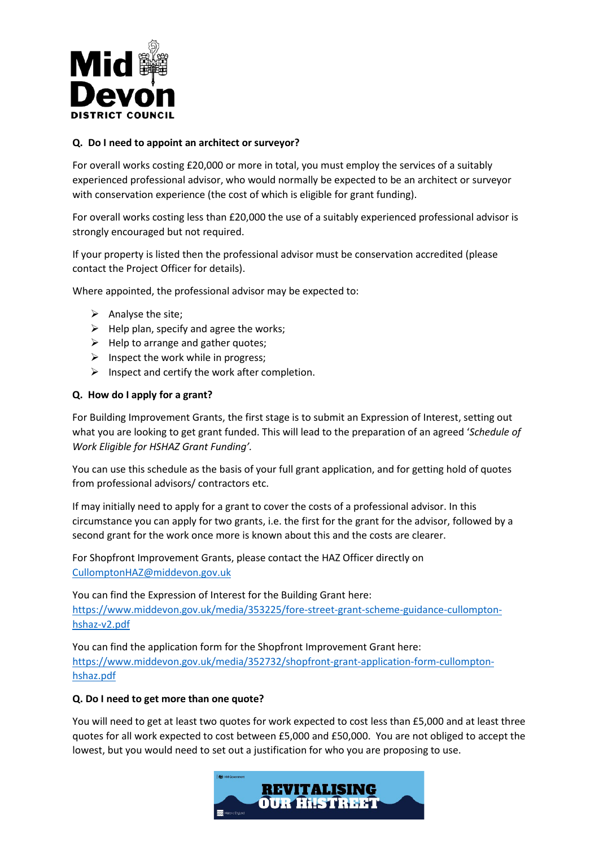

#### **Q. Do I need to appoint an architect or surveyor?**

For overall works costing £20,000 or more in total, you must employ the services of a suitably experienced professional advisor, who would normally be expected to be an architect or surveyor with conservation experience (the cost of which is eligible for grant funding).

For overall works costing less than £20,000 the use of a suitably experienced professional advisor is strongly encouraged but not required.

If your property is listed then the professional advisor must be conservation accredited (please contact the Project Officer for details).

Where appointed, the professional advisor may be expected to:

- $\triangleright$  Analyse the site;
- $\triangleright$  Help plan, specify and agree the works;
- $\triangleright$  Help to arrange and gather quotes;
- $\triangleright$  Inspect the work while in progress;
- $\triangleright$  Inspect and certify the work after completion.

#### **Q. How do I apply for a grant?**

For Building Improvement Grants, the first stage is to submit an Expression of Interest, setting out what you are looking to get grant funded. This will lead to the preparation of an agreed '*Schedule of Work Eligible for HSHAZ Grant Funding'.* 

You can use this schedule as the basis of your full grant application, and for getting hold of quotes from professional advisors/ contractors etc.

If may initially need to apply for a grant to cover the costs of a professional advisor. In this circumstance you can apply for two grants, i.e. the first for the grant for the advisor, followed by a second grant for the work once more is known about this and the costs are clearer.

For Shopfront Improvement Grants, please contact the HAZ Officer directly on [CullomptonHAZ@middevon.gov.uk](mailto:CullomptonHAZ@middevon.gov.uk) 

You can find the Expression of Interest for the Building Grant here: [https://www.middevon.gov.uk/media/353225/fore-street-grant-scheme-guidance-cullompton](https://www.middevon.gov.uk/media/353225/fore-street-grant-scheme-guidance-cullompton-hshaz-v2.pdf)[hshaz-v2.pdf](https://www.middevon.gov.uk/media/353225/fore-street-grant-scheme-guidance-cullompton-hshaz-v2.pdf)

You can find the application form for the Shopfront Improvement Grant here: [https://www.middevon.gov.uk/media/352732/shopfront-grant-application-form-cullompton](https://www.middevon.gov.uk/media/352732/shopfront-grant-application-form-cullompton-hshaz.pdf)[hshaz.pdf](https://www.middevon.gov.uk/media/352732/shopfront-grant-application-form-cullompton-hshaz.pdf)

#### **Q. Do I need to get more than one quote?**

You will need to get at least two quotes for work expected to cost less than £5,000 and at least three quotes for all work expected to cost between £5,000 and £50,000. You are not obliged to accept the lowest, but you would need to set out a justification for who you are proposing to use.